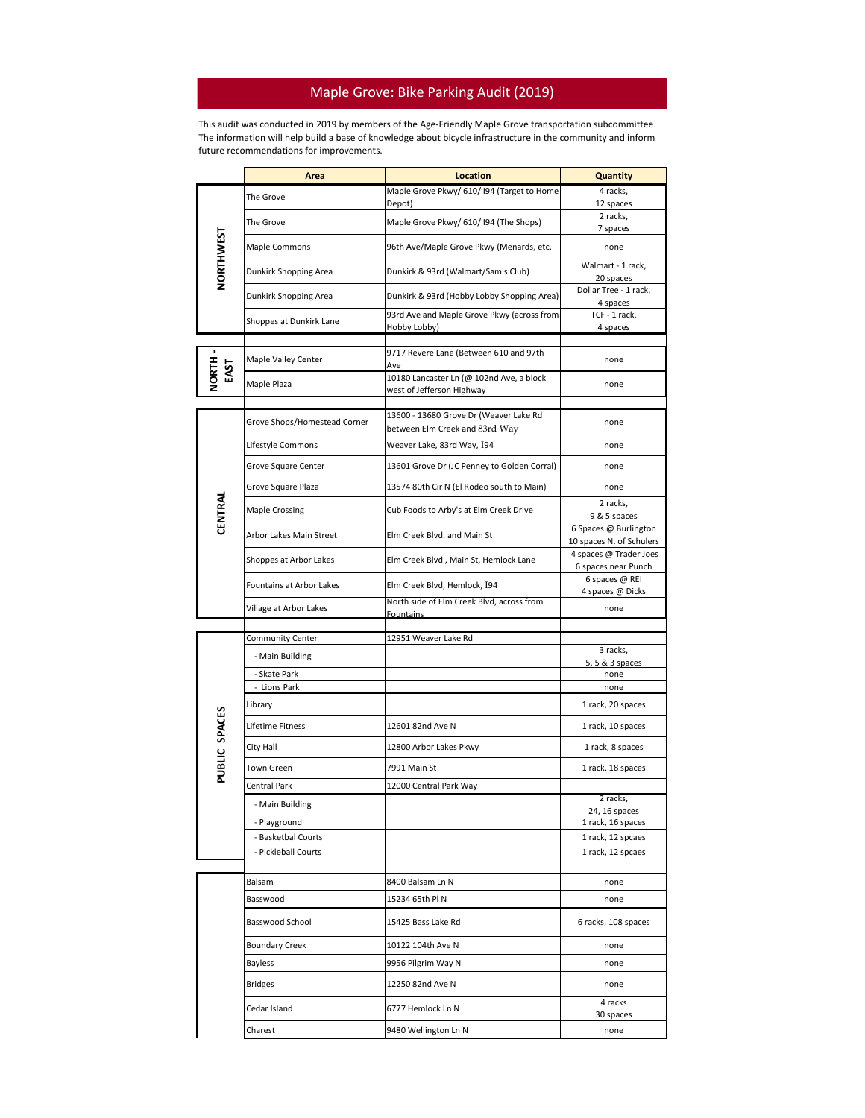## Maple Grove: Bike Parking Audit (2019)

This audit was conducted in 2019 by members of the Age-Friendly Maple Grove transportation subcommittee. The information will help build a base of knowledge about bicycle infrastructure in the community and inform future recommendations for improvements.

|                  | Area                         | <b>Location</b>                                                          | <b>Quantity</b>                                   |
|------------------|------------------------------|--------------------------------------------------------------------------|---------------------------------------------------|
| <b>NORTHWEST</b> | The Grove                    | Maple Grove Pkwy/ 610/ I94 (Target to Home<br>Depot)                     | 4 racks,<br>12 spaces                             |
|                  | The Grove                    | Maple Grove Pkwy/ 610/ I94 (The Shops)                                   | 2 racks,<br>7 spaces                              |
|                  | Maple Commons                | 96th Ave/Maple Grove Pkwy (Menards, etc.                                 | none                                              |
|                  | Dunkirk Shopping Area        | Dunkirk & 93rd (Walmart/Sam's Club)                                      | Walmart - 1 rack,<br>20 spaces                    |
|                  | Dunkirk Shopping Area        | Dunkirk & 93rd (Hobby Lobby Shopping Area)                               | Dollar Tree - 1 rack,<br>4 spaces                 |
|                  | Shoppes at Dunkirk Lane      | 93rd Ave and Maple Grove Pkwy (across from<br>Hobby Lobby)               | TCF - 1 rack,<br>4 spaces                         |
|                  |                              | 9717 Revere Lane (Between 610 and 97th                                   |                                                   |
| NORTH<br>EAST    | Maple Valley Center          | Ave<br>10180 Lancaster Ln (@ 102nd Ave, a block                          | none                                              |
|                  | Maple Plaza                  | west of Jefferson Highway                                                | none                                              |
|                  |                              |                                                                          |                                                   |
| CENTRAL          | Grove Shops/Homestead Corner | 13600 - 13680 Grove Dr (Weaver Lake Rd<br>between Elm Creek and 83rd Way | none                                              |
|                  | Lifestyle Commons            | Weaver Lake, 83rd Way, I94                                               | none                                              |
|                  | Grove Square Center          | 13601 Grove Dr (JC Penney to Golden Corral)                              | none                                              |
|                  | Grove Square Plaza           | 13574 80th Cir N (El Rodeo south to Main)                                | none                                              |
|                  | <b>Maple Crossing</b>        | Cub Foods to Arby's at Elm Creek Drive                                   | 2 racks,<br>9 & 5 spaces                          |
|                  | Arbor Lakes Main Street      | Elm Creek Blyd, and Main St                                              | 6 Spaces @ Burlington<br>10 spaces N. of Schulers |
|                  | Shoppes at Arbor Lakes       | Elm Creek Blvd, Main St, Hemlock Lane                                    | 4 spaces @ Trader Joes<br>6 spaces near Punch     |
|                  | Fountains at Arbor Lakes     | Elm Creek Blvd, Hemlock, I94                                             | 6 spaces @ REI<br>4 spaces @ Dicks                |
|                  | Village at Arbor Lakes       | North side of Elm Creek Blvd, across from<br><b>Fountains</b>            | none                                              |
|                  |                              |                                                                          |                                                   |
|                  | Community Center             | 12951 Weaver Lake Rd                                                     | 3 racks,                                          |
|                  | - Main Building              |                                                                          | 5, 5 & 3 spaces                                   |
|                  | - Skate Park<br>- Lions Park |                                                                          | none<br>none                                      |
|                  | Library                      |                                                                          | 1 rack, 20 spaces                                 |
| PUBLIC SPACES    | Lifetime Fitness             | 12601 82nd Ave N                                                         | 1 rack, 10 spaces                                 |
|                  | City Hall                    | 12800 Arbor Lakes Pkwy                                                   | 1 rack, 8 spaces                                  |
|                  | Town Green                   | 7991 Main St                                                             | 1 rack, 18 spaces                                 |
|                  | Central Park                 | 12000 Central Park Way                                                   |                                                   |
|                  | - Main Building              |                                                                          | 2 racks,                                          |
|                  | - Playground                 |                                                                          | 24, 16 spaces<br>1 rack, 16 spaces                |
|                  | - Basketbal Courts           |                                                                          | 1 rack, 12 spcaes                                 |
|                  | - Pickleball Courts          |                                                                          | 1 rack, 12 spcaes                                 |
|                  |                              |                                                                          |                                                   |
|                  | Balsam                       | 8400 Balsam Ln N                                                         | none                                              |
|                  | Basswood                     | 15234 65th PIN                                                           | none                                              |
|                  | Basswood School              | 15425 Bass Lake Rd                                                       | 6 racks, 108 spaces                               |
|                  | <b>Boundary Creek</b>        | 10122 104th Ave N                                                        | none                                              |
|                  | Bayless                      | 9956 Pilgrim Way N                                                       | none                                              |
|                  | <b>Bridges</b>               | 12250 82nd Ave N                                                         | none                                              |
|                  | Cedar Island                 | 6777 Hemlock Ln N                                                        | 4 racks<br>30 spaces                              |
|                  | Charest                      | 9480 Wellington Ln N                                                     | none                                              |